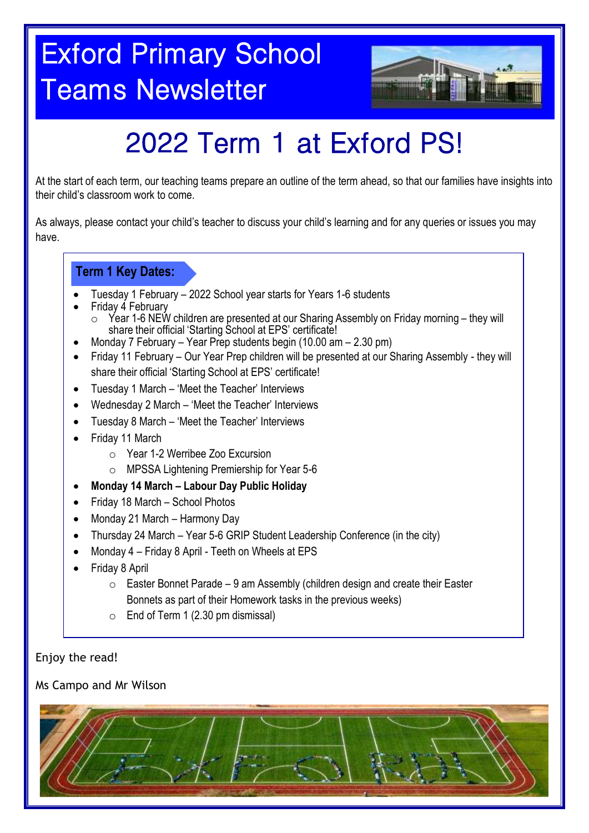## Exford Primary School Teams Newsletter



## 2022 Term 1 at Exford PS!

At the start of each term, our teaching teams prepare an outline of the term ahead, so that our families have insights into their child's classroom work to come.

As always, please contact your child's teacher to discuss your child's learning and for any queries or issues you may have.

#### **Term 1 Key Dates:**

- Tuesday 1 February 2022 School year starts for Years 1-6 students
- Friday 4 February
	- Year 1-6 NEW children are presented at our Sharing Assembly on Friday morning they will share their official 'Starting School at EPS' certificate!
- Monday 7 February Year Prep students begin (10.00 am 2.30 pm)
- Friday 11 February Our Year Prep children will be presented at our Sharing Assembly they will share their official 'Starting School at EPS' certificate!
- Tuesday 1 March 'Meet the Teacher' Interviews
- Wednesday 2 March 'Meet the Teacher' Interviews
- Tuesday 8 March 'Meet the Teacher' Interviews
- Friday 11 March
	- o Year 1-2 Werribee Zoo Excursion
	- o MPSSA Lightening Premiership for Year 5-6
- **Monday 14 March – Labour Day Public Holiday**
- Friday 18 March School Photos
- Monday 21 March Harmony Day
- Thursday 24 March Year 5-6 GRIP Student Leadership Conference (in the city)
- Monday 4 Friday 8 April Teeth on Wheels at EPS
- Friday 8 April
	- $\circ$  Easter Bonnet Parade 9 am Assembly (children design and create their Easter Bonnets as part of their Homework tasks in the previous weeks)
	- $\circ$  End of Term 1 (2.30 pm dismissal)

Enjoy the read!

Ms Campo and Mr Wilson

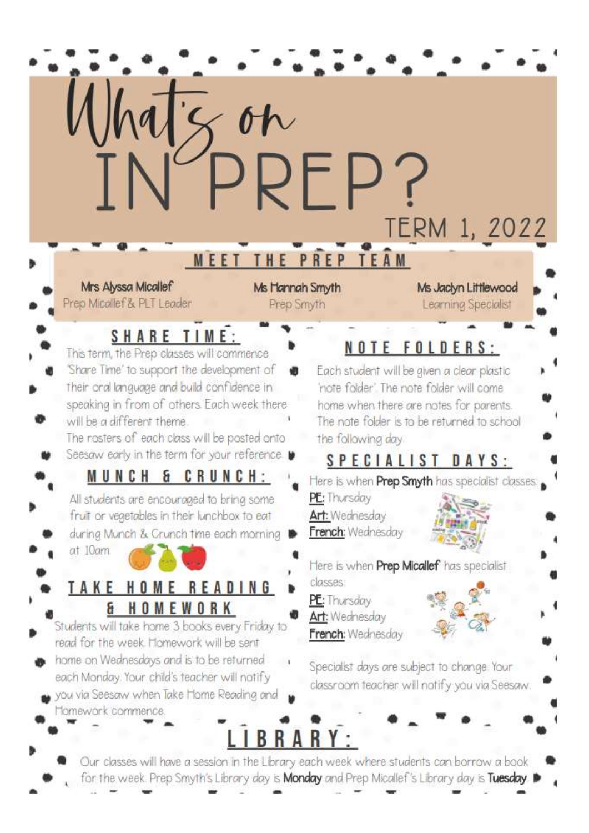

- home on Wednesdays and is to be returned each Monday. Your child's teacher will notify
- you via Seesaw when Take Home Reading and Tomework commence
	- **BRARY:**

Specialist days are subject to change. Your

classroom teacher will notify you via Seesaw

Our classes will have a session in the Library each week where students can borrow a book for the week. Prep Smyth's Library day is **Monday** and Prep Micallef's Library day is Tuesday.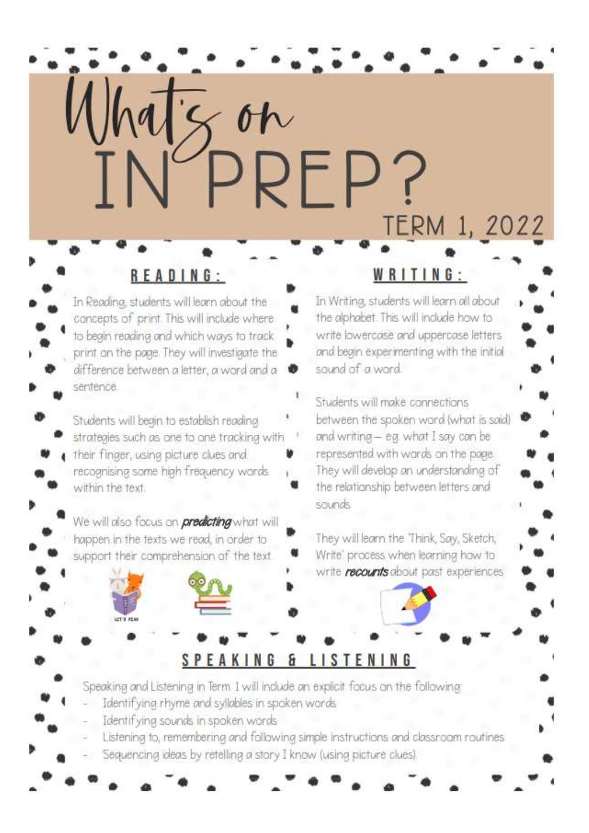## READING:

 $Mh$ atz on

In Reading, students will learn about the concepts of print. This will include where to begin reading and which ways to track print on the page. They will investigate the difference between a letter, a word and a sentence.

Students will begin to establish reading strategies such as one to one tracking with

their finger, using picture clues and recognising some high frequency words within the text.

We will also focus on **predicting** what will happen in the texts we read, in order to support their comprehension of the text

#### WRITING

TERM 1, 2022

In Writing, students will learn all about the alphabet. This will include how to write lowercase and uppercase letters and begin experimenting with the initial sound of a word.

Students will make connections between the spoken word (what is said) and writing - e.g. what I say can be represented with words on the page. They will develop an understanding of the relationship between letters and sounds.

They will learn the 'Think, Say, Sketch, Write' process when learning how to write **recounts** about past experiences

#### SPEAKING & LISTENING

PREP?

Speaking and Listening in Term I will include an explicit focus on the following

- Identifying rhyme and syllables in spoken words
- Identifying sounds in spoken words
- Listening to, remembering and following simple instructions and classroom routines
- Sequencing ideas by retelling a story I know (using picture clues)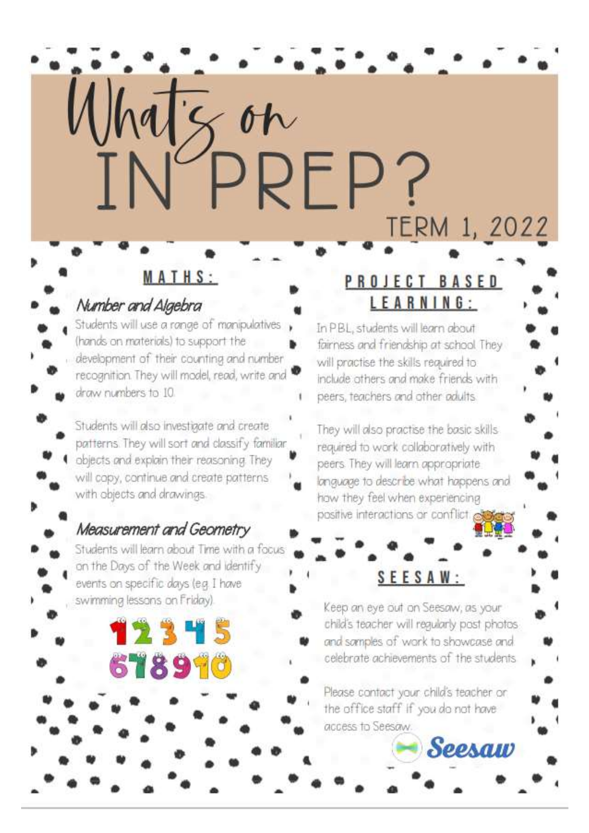# Whatson<br>INPREP? TERM 1, 2022

## Number and Algebra

Students will use a range of manipulatives (hands on materials) to support the development of their counting and number recognition. They will model, read, write and draw numbers to 10.

MATHS:

Students will also investigate and create patterns. They will sort and classify familiar objects and explain their reasoning. They will copy, continue and create patterns with objects and drawings.

#### Measurement and Geometry

Students will learn about Time with a focus on the Days of the Week and identify events on specific days (e.g. I have swimming lessons on Friday).

12345

678990

## PROJECT BASED LEARNING:

In PBL, students will learn about fairness and friendship at school They will practise the skills required to include others and make friends with peers, teachers and other adults.

They will also practise the basic skills required to work collaboratively with peers. They will learn appropriate language to describe what happens and how they feel when experiencing positive interactions or conflict co

## SEESAW:

Keep an eye out on Seesaw, as your child's teacher will regularly post photos and samples of work to showcase and celebrate achievements of the students

Please contact your child's teacher or the office staff if you do not have access to Seesaw.

Seesaw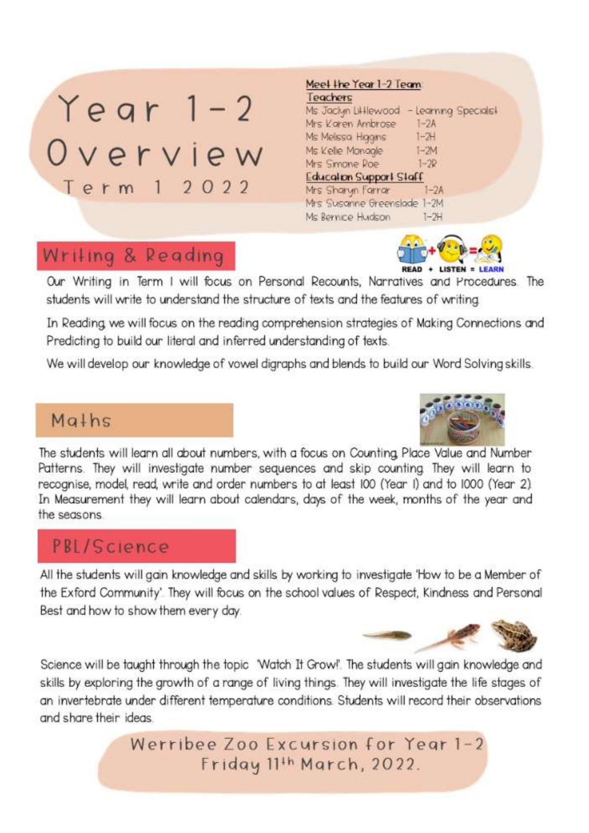## $Year 1-2$ Overview Term 1 2022

#### Meel lhe Year 1-2 Team: Teachers

Ms Jackyn Lilllewood - Learning Specials! Mrs Koren Ambrose  $1-2A$ Ms Melssa Higans  $1 - 7 +$ Ms Kelle Monagle  $1 - 7M$ Mrs Smone Roe  $1 - 2R$ Education Support Staff Mrs Sharyn Farrar 1-2A Mrs Susanne Greenslade 1-2M Ms Rennice Hudson  $1 - 2H$ 

## Writing & Reading



Our Writing in Term I will focus on Personal Recounts, Narratives and Procedures. The students will write to understand the structure of texts and the features of writing

In Reading we will focus on the reading comprehension strategies of Making Connections and Predicting to build our literal and inferred understanding of texts.

We will develop our knowledge of vowel digraphs and blends to build our Word Solving skills.

## Maths



## PBL/Science

All the students will gain knowledge and skills by working to investigate 'How to be a Member of the Exford Community'. They will focus on the school values of Respect, Kindness and Personal Best and how to show them every day.



Science will be taught through the topic 'Watch It Grow!'. The students will gain knowledge and skills by exploring the growth of a range of living things. They will investigate the life stages of an invertebrate under different temperature conditions. Students will record their observations and share their ideas.

> Werribee Zoo Excursion for Year 1-2 Friday 11th March, 2022.

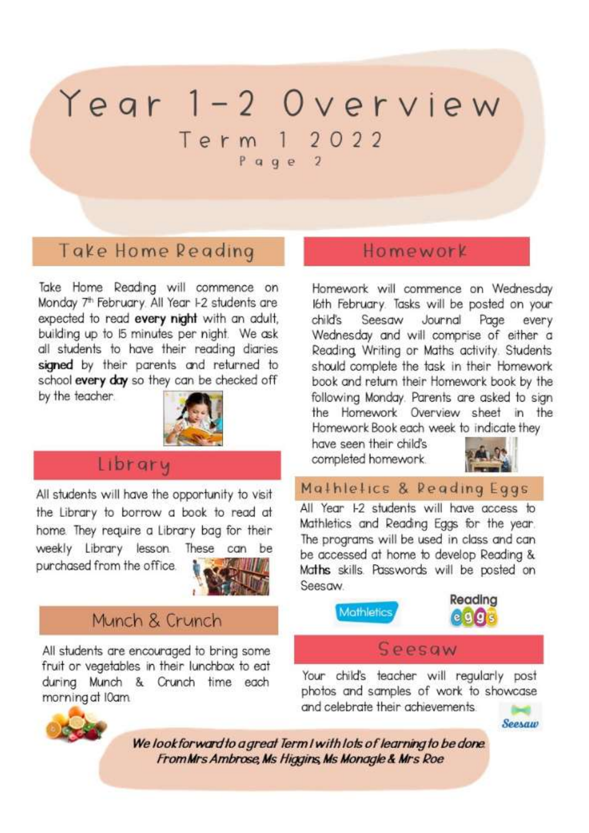## Year 1-2 Overview Term 1 2022

 $P$  age 2

## Take Home Reading

Take Home Reading will commence on Monday 7<sup>th</sup> February. All Year 1-2 students are expected to read every night with an adult, building up to 15 minutes per night. We ask all students to have their reading diaries signed by their parents and returned to school every day so they can be checked off

by the teacher.



#### Library

All students will have the opportunity to visit the Library to borrow a book to read at home. They require a Library bag for their weekly Library lesson. These can be purchased from the office.



## Munch & Crunch

All students are encouraged to bring some fruit or vegetables in their lunchbox to eat during Munch & Crunch time each morning at I0am



Homework will commence on Wednesday I6th February. Tasks will be posted on your Seesaw Journal child's Page every Wednesday and will comprise of either a Reading, Writing or Maths activity. Students should complete the task in their Homework book and return their Homework book by the following Monday. Parents are asked to sian the Homework Overview sheet in the Homework Book each week to indicate they

have seen their child's completed homework.



Mathletics & Reading Eggs

All Year 1-2 students will have access to Mathletics and Reading Eggs for the year. The programs will be used in class and can be accessed at home to develop Reading & Maths skills. Passwords will be posted on Seesow





#### Seesaw

Your child's teacher will regularly post photos and samples of work to showcase and celebrate their achievements



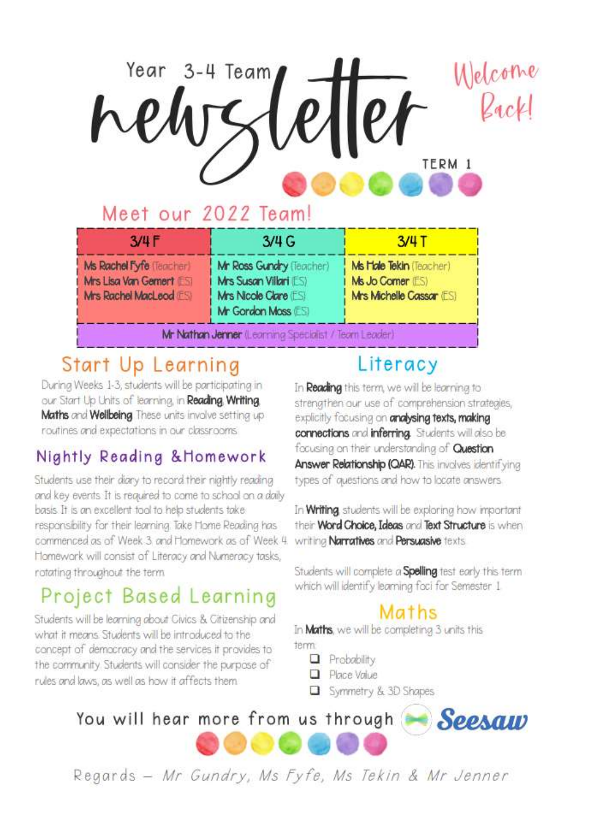# Welcome Year 3-4 Team, TERM 1

## Meet our 2022 Team!

| 3/4F                                                                           | 3/4G                                                                                               | $3/4$ T                                                                 |
|--------------------------------------------------------------------------------|----------------------------------------------------------------------------------------------------|-------------------------------------------------------------------------|
| Ms Rachel Fyfe (Teacher)<br>Mrs Lisa Van Gement ESI<br>Mrs Rachel MacLeod (ES) | Mr Ross Gundry (Teacher)<br>Mrs Susan Villari (ES)<br>Mrs Nicole Clare (ES)<br>Mr Gordon Moss (ES) | Ms Hole Tekin (Teacher)<br>Ms Jo Comer (ES)<br>Mrs Michelle Cassar (ES) |
| Mr Nathan Jenner (Learning Specialist / Team Leader)                           |                                                                                                    |                                                                         |

## Start Up Learning

Durina Weeks 1-3, students will be participating in our Start Up Units of learning, in Reading, Writing, Maths and Wellbeing These units involve setting up routines and expectations in our classrooms

## Nightly Reading & Homework

Students use their diary to record their nightly reading and key events. It is required to come to school on a daily basis. It is an excellent tool to help students take responsibility for their learning. Take Home Reading has commenced as of Week 3 and Homework as of Week 4. Homework will consist of Literacy and Numeracy tasks, rotating throughout the term

## Project Based Learning

Students will be learning about Civics & Citizenship and what it means. Students will be introduced to the concept of democracy and the services it provides to the community. Students will consider the purpose of rules and laws, as well as how it affects them.

## Literacy

In Reading this term, we will be learning to strengthen our use of comprehension strategies, explicitly focusing on analysing texts, making connections and inferring. Students will also be focusing on their understanding of **Question** Answer Relationship (QAR). This involves identifying types of questions and how to locate answers.

In Writing students will be exploring how important their Word Choice, Ideas and Text Structure is when writing Narratives and Persuasive texts.

Students will complete a Spelling test early this term which will identify learning foci for Semester 1

## Maths

In Maths, we will be completing 3 units this term.

- $\Box$  Probability
- Place Value
- Symmetry & 3D Shapes

## You will hear more from us through Seesaw



Regards - Mr Gundry, Ms Fyfe, Ms Tekin & Mr Jenner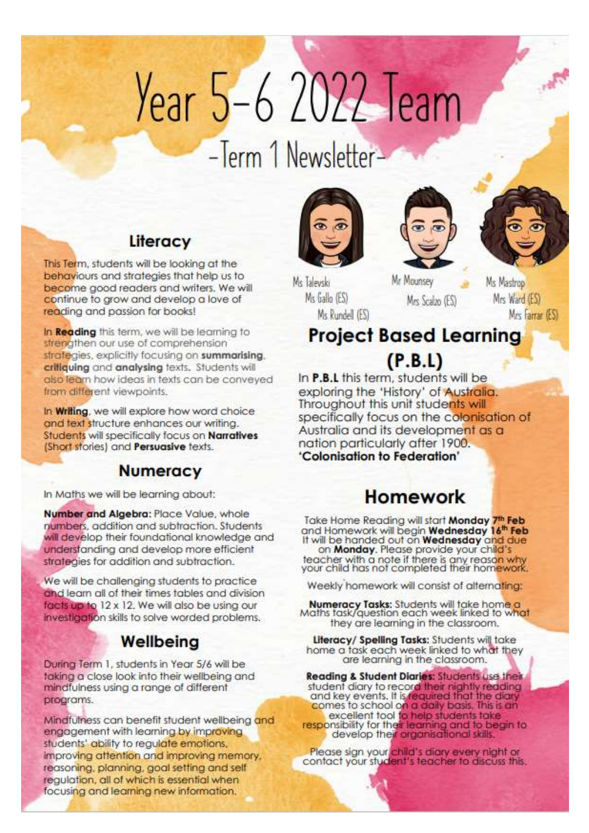# Year 5-6 2022 Team

## -Term 1 Newsletter-

Ms Taleyski

Ms Gallo (ES)

Ms Rundell (ES)







Ms Mastrop Mrs Ward (ES) Mrs Farrar (ES)

## **Project Based Learning**

Mr Mounsey

Mrs Scalzo (ES)

 $(P.B.L)$ 

In **P.B.L** this term, students will be exploring the 'History' of Australia. Throughout this unit students will specifically focus on the colonisation of Australia and its development as a nation particularly after 1900. 'Colonisation to Federation'

## **Homework**

Take Home Reading will start Monday 7th Feb and Homework will begin Wednesday 16<sup>th</sup> Feb<br>It will be handed out on Wednesday and due on Monday. Please provide your child's<br>teacher with a note if there is any reason why<br>your child has not completed their homework.

Weekly homework will consist of alternating:

Numeracy Tasks: Students will take home a Maths task/question each week linked to what they are learning in the classroom.

Literacy/ Spelling Tasks: Students will take home a task each week linked to what they are learning in the classroom.

Reading & Student Diaries: Students use their student diary to record their nightly reading and key events. It is required that the diary<br>comes to school on a daily basis. This is an excellent tool to help students take<br>responsibility for their learning and to begin to<br>develop their organisational skills.

Please sign your child's diary every night or contact your student's teacher to discuss this.

## Literacy

This Term, students will be looking at the behaviours and strategies that help us to become good readers and writers. We will continue to grow and develop a love of reading and passion for books!

In Reading this term, we will be learning to strengthen our use of comprehension strategies, explicitly focusing on summarising. critiquing and analysing texts. Students will also learn how ideas in texts can be conveyed from different viewpoints.

In Writing, we will explore how word choice and text structure enhances our writing. Students will specifically focus on Narratives (Short stories) and Persuasive texts.

#### **Numeracy**

In Maths we will be learning about:

Number and Algebra: Place Value, whole numbers, addition and subtraction. Students will develop their foundational knowledge and understanding and develop more efficient strategies for addition and subtraction.

We will be challenging students to practice and learn all of their times tables and division facts up to 12 x 12. We will also be using our investigation skills to solve worded problems.

## Wellbeing

During Term 1, students in Year 5/6 will be taking a close look into their wellbeing and mindfulness using a range of different programs.

Mindfulness can benefit student wellbeing and engagement with learning by improving students' ability to regulate emotions, improving attention and improving memory. reasoning, planning, goal setting and self requiation, all of which is essential when focusing and learning new information.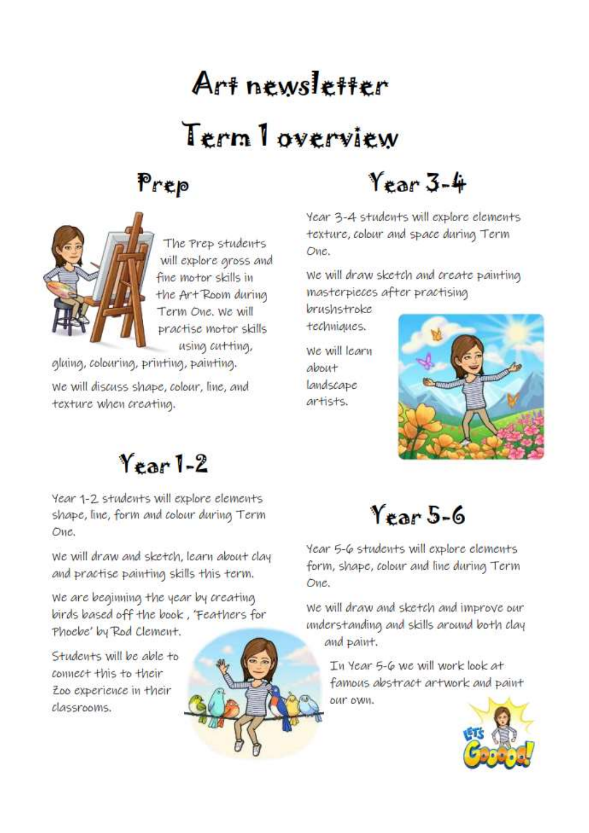## Art newsletter Term Toverview





The Prep students will explore gross and fine motor skills in the Art Room during Term One, We will practise motor skills using cutting,

gluing, colouring, printing, painting. We will discuss shape, colour, line, and texture when creating.

Year 3-4

Year 3-4 students will explore elements texture, colour and space during Term One.

We will draw sketch and create painting masterpieces after practising

brushstroke techniques.

We will learn about landscape artists.



## $Y<sub>ear</sub>1-2$

Year 1-2 students will explore elements shape, line, form and colour during Term One.

We will draw and sketch, learn about clay and practise painting skills this term.

We are beginning the year by creating birds based off the book, 'Feathers for Phoebe' by Rod Clement.

Students will be able to connect this to their Zoo experience in their classrooms.



Year 5-6

Year 5-6 students will explore elements form, shape, colour and line during Term One.

We will draw and sketch and improve our understanding and skills around both clay and paint.

In Year 5-6 we will work look at famous abstract artwork and paint DUT DWN.

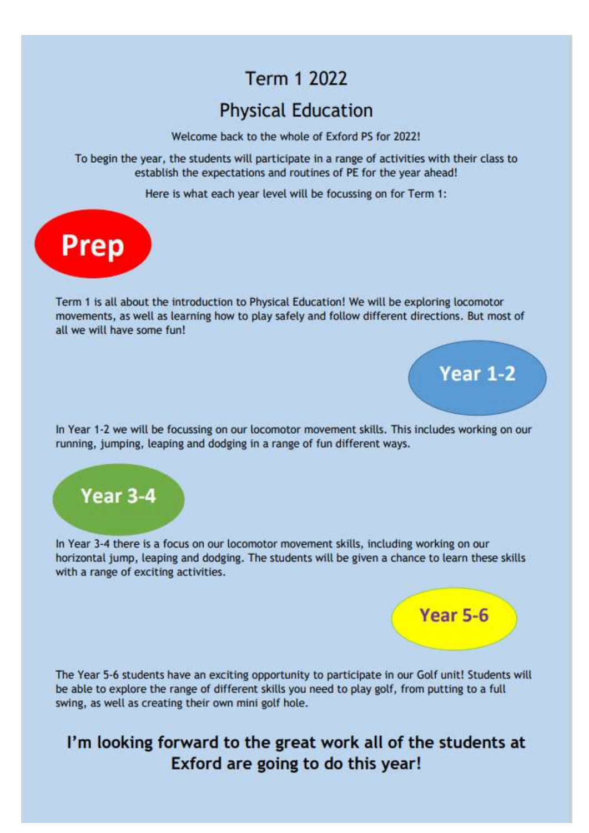## **Term 1 2022**

## **Physical Education**

Welcome back to the whole of Exford PS for 2022!

To begin the year, the students will participate in a range of activities with their class to establish the expectations and routines of PE for the year ahead!

Here is what each year level will be focussing on for Term 1:



Term 1 is all about the introduction to Physical Education! We will be exploring locomotor movements, as well as learning how to play safely and follow different directions. But most of all we will have some fun!

In Year 1-2 we will be focussing on our locomotor movement skills. This includes working on our running, jumping, leaping and dodging in a range of fun different ways.



In Year 3-4 there is a focus on our locomotor movement skills, including working on our horizontal jump, leaping and dodging. The students will be given a chance to learn these skills with a range of exciting activities.

Year 5-6

**Year 1-2** 

The Year 5-6 students have an exciting opportunity to participate in our Golf unit! Students will be able to explore the range of different skills you need to play golf, from putting to a full swing, as well as creating their own mini golf hole.

## I'm looking forward to the great work all of the students at Exford are going to do this year!